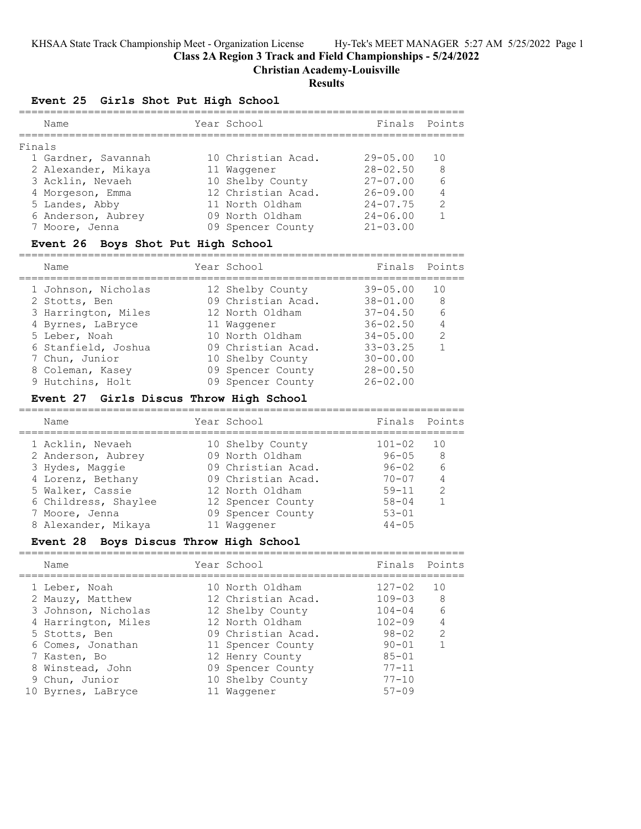KHSAA State Track Championship Meet - Organization License Hy-Tek's MEET MANAGER 5:27 AM 5/25/2022 Page 1

**Class 2A Region 3 Track and Field Championships - 5/24/2022**

**Christian Academy-Louisville**

# **Results**

# **Event 25 Girls Shot Put High School**

|        | Name                | Year School        | Finals Points   |                |
|--------|---------------------|--------------------|-----------------|----------------|
| Finals |                     |                    |                 |                |
|        | 1 Gardner, Savannah | 10 Christian Acad. | $29 - 0.5$ . 00 | 1 N            |
|        | 2 Alexander, Mikaya | 11 Waqqener        | $28 - 02.50$    | -8             |
|        | 3 Acklin, Nevaeh    | 10 Shelby County   | $27 - 07.00$    | 6              |
|        | 4 Morgeson, Emma    | 12 Christian Acad. | $26 - 09.00$    | $\overline{4}$ |
|        | 5 Landes, Abby      | 11 North Oldham    | $24 - 07.75$    | $\mathcal{P}$  |
|        | 6 Anderson, Aubrey  | 09 North Oldham    | $24 - 06.00$    |                |
|        | 7 Moore, Jenna      | 09 Spencer County  | $21 - 03.00$    |                |

#### **Event 26 Boys Shot Put High School**

=======================================================================

| Name                | Year School        | Finals       | Points        |
|---------------------|--------------------|--------------|---------------|
| 1 Johnson, Nicholas | 12 Shelby County   | $39 - 05.00$ | 10            |
| 2 Stotts, Ben       | 09 Christian Acad. | $38 - 01.00$ | 8             |
| 3 Harrington, Miles | 12 North Oldham    | $37 - 04.50$ | 6             |
| 4 Byrnes, LaBryce   | 11 Waqqener        | $36 - 02.50$ | 4             |
| 5 Leber, Noah       | 10 North Oldham    | $34 - 05.00$ | $\mathcal{L}$ |
| 6 Stanfield, Joshua | 09 Christian Acad. | $33 - 03.25$ |               |
| 7 Chun, Junior      | 10 Shelby County   | $30 - 00.00$ |               |
| 8 Coleman, Kasey    | 09 Spencer County  | $28 - 00.50$ |               |
| 9 Hutchins, Holt    | 09 Spencer County  | $26 - 02.00$ |               |

# **Event 27 Girls Discus Throw High School**

| Name                 | Year School        | Finals Points |               |
|----------------------|--------------------|---------------|---------------|
| 1 Acklin, Nevaeh     | 10 Shelby County   | $101 - 02$    | 1 O           |
| 2 Anderson, Aubrey   | 09 North Oldham    | $96 - 05$     | -8            |
| 3 Hydes, Maggie      | 09 Christian Acad. | $96 - 02$     | - 6           |
| 4 Lorenz, Bethany    | 09 Christian Acad. | $70 - 07$     |               |
| 5 Walker, Cassie     | 12 North Oldham    | $59 - 11$     | $\mathcal{P}$ |
| 6 Childress, Shaylee | 12 Spencer County  | $58 - 04$     |               |
| 7 Moore, Jenna       | 09 Spencer County  | $53 - 01$     |               |
| 8 Alexander, Mikaya  | 11 Waqqener        | $44 - 0.5$    |               |
|                      |                    |               |               |

#### **Event 28 Boys Discus Throw High School** =======================================================================

| Name                | Year School        | Finals Points |                |
|---------------------|--------------------|---------------|----------------|
| 1 Leber, Noah       | 10 North Oldham    | $127 - 02$    | 1 O            |
| 2 Mauzy, Matthew    | 12 Christian Acad. | $109 - 03$    | -8             |
| 3 Johnson, Nicholas | 12 Shelby County   | $104 - 04$    | - 6            |
| 4 Harrington, Miles | 12 North Oldham    | $102 - 09$    | $\overline{4}$ |
| 5 Stotts, Ben       | 09 Christian Acad. | 98-02         | $\mathcal{L}$  |
| 6 Comes, Jonathan   | 11 Spencer County  | $90 - 01$     |                |
| 7 Kasten, Bo        | 12 Henry County    | $85 - 01$     |                |
| 8 Winstead, John    | 09 Spencer County  | $77 - 11$     |                |
| 9 Chun, Junior      | 10 Shelby County   | $77 - 10$     |                |
| 10 Byrnes, LaBryce  | 11 Waqqener        | $57 - 09$     |                |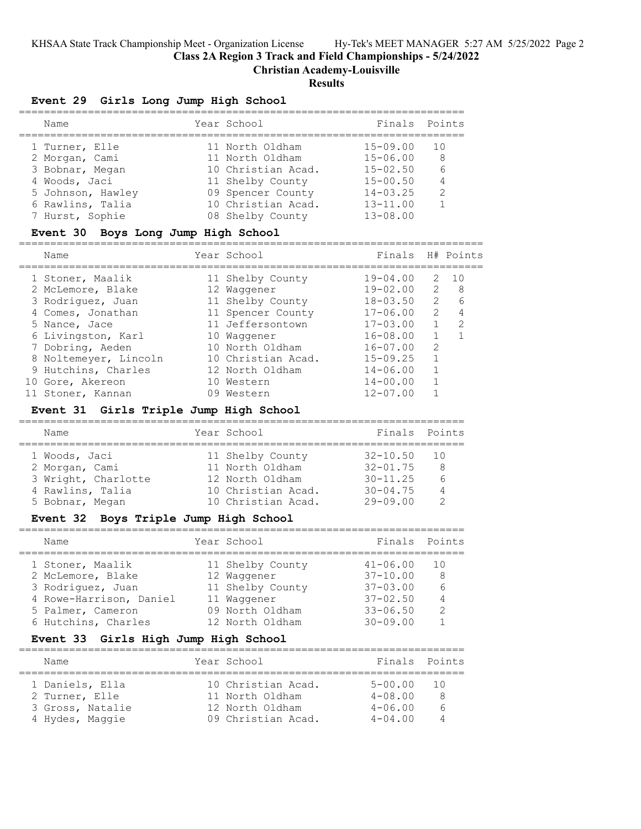KHSAA State Track Championship Meet - Organization License Hy-Tek's MEET MANAGER 5:27 AM 5/25/2022 Page 2

**Class 2A Region 3 Track and Field Championships - 5/24/2022**

==========================================================================

**Christian Academy-Louisville**

# **Results**

# **Event 29 Girls Long Jump High School**

| Name              | Year School        | Finals Points |     |
|-------------------|--------------------|---------------|-----|
| 1 Turner, Elle    | 11 North Oldham    | $15 - 09.00$  | 1 O |
| 2 Morgan, Cami    | 11 North Oldham    | $15 - 06.00$  | -8  |
| 3 Bobnar, Megan   | 10 Christian Acad. | $15 - 02.50$  | 6   |
| 4 Woods, Jaci     | 11 Shelby County   | $15 - 00.50$  | 4   |
| 5 Johnson, Hawley | 09 Spencer County  | $14 - 03.25$  | 2   |
| 6 Rawlins, Talia  | 10 Christian Acad. | $13 - 11.00$  |     |
| 7 Hurst, Sophie   | 08 Shelby County   | $13 - 08.00$  |     |

# **Event 30 Boys Long Jump High School**

| Name                  |  | Year School        | Finals H# Points |               |               |
|-----------------------|--|--------------------|------------------|---------------|---------------|
| 1 Stoner, Maalik      |  | 11 Shelby County   | $19 - 04.00$     |               | 2, 10         |
| 2 McLemore, Blake     |  | 12 Waqqener        | $19 - 02.00$     | 2             | - 8           |
| 3 Rodriquez, Juan     |  | 11 Shelby County   | $18 - 03.50$     | $\mathcal{P}$ | 6             |
| 4 Comes, Jonathan     |  | 11 Spencer County  | $17 - 06.00$     | $\mathcal{L}$ | 4             |
| 5 Nance, Jace         |  | 11 Jeffersontown   | $17 - 03.00$     |               | $\mathcal{L}$ |
| 6 Livingston, Karl    |  | 10 Waqqener        | $16 - 08.00$     |               |               |
| 7 Dobring, Aeden      |  | 10 North Oldham    | $16 - 07.00$     | $\mathcal{L}$ |               |
| 8 Noltemeyer, Lincoln |  | 10 Christian Acad. | $15 - 09.25$     |               |               |
| 9 Hutchins, Charles   |  | 12 North Oldham    | $14 - 06.00$     |               |               |
| 10 Gore, Akereon      |  | 10 Western         | $14 - 00.00$     |               |               |
| 11 Stoner, Kannan     |  | 09 Western         | $12 - 07.00$     |               |               |

# **Event 31 Girls Triple Jump High School**

| Name                                                                                          | Year School                                                                                        | Finals Points                                                                  |                                       |
|-----------------------------------------------------------------------------------------------|----------------------------------------------------------------------------------------------------|--------------------------------------------------------------------------------|---------------------------------------|
| 1 Woods, Jaci<br>2 Morgan, Cami<br>3 Wright, Charlotte<br>4 Rawlins, Talia<br>5 Bobnar, Megan | 11 Shelby County<br>11 North Oldham<br>12 North Oldham<br>10 Christian Acad.<br>10 Christian Acad. | $32 - 10.50$<br>$32 - 01$ , 75<br>$30 - 11.25$<br>$30 - 04.75$<br>$29 - 09.00$ | $\overline{10}$<br>8<br>$\kappa$<br>4 |

### **Event 32 Boys Triple Jump High School**

| Name                    | Year School      | Finals       | Points |
|-------------------------|------------------|--------------|--------|
| 1 Stoner, Maalik        | 11 Shelby County | $41 - 06.00$ | 1 O    |
| 2 McLemore, Blake       | 12 Waqqener      | $37 - 10.00$ | -8     |
| 3 Rodriguez, Juan       | 11 Shelby County | $37 - 03.00$ | 6      |
| 4 Rowe-Harrison, Daniel | 11 Waqqener      | $37 - 02.50$ | 4      |
| 5 Palmer, Cameron       | 09 North Oldham  | $33 - 06.50$ | 2      |
| 6 Hutchins, Charles     | 12 North Oldham  | $30 - 09.00$ |        |

# **Event 33 Girls High Jump High School**

| Name                                                 |                  | Year School                                                                    | Finals Points                                            |                |
|------------------------------------------------------|------------------|--------------------------------------------------------------------------------|----------------------------------------------------------|----------------|
| 1 Daniels, Ella<br>2 Turner, Elle<br>4 Hydes, Maggie | 3 Gross, Natalie | 10 Christian Acad.<br>11 North Oldham<br>12 North Oldham<br>09 Christian Acad. | $5 - 00.00$<br>$4 - 08.00$<br>$4 - 06.00$<br>$4 - 04.00$ | - 10<br>8<br>6 |